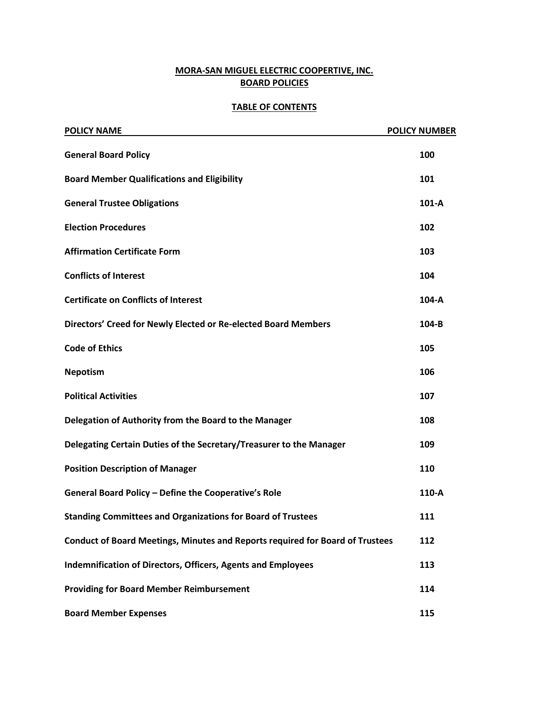# **MORA-SAN MIGUEL ELECTRIC COOPERTIVE, INC. BOARD POLICIES**

#### **TABLE OF CONTENTS**

| <b>POLICY NAME</b>                                                                   | <b>POLICY NUMBER</b> |
|--------------------------------------------------------------------------------------|----------------------|
| <b>General Board Policy</b>                                                          | 100                  |
| <b>Board Member Qualifications and Eligibility</b>                                   | 101                  |
| <b>General Trustee Obligations</b>                                                   | $101-A$              |
| <b>Election Procedures</b>                                                           | 102                  |
| <b>Affirmation Certificate Form</b>                                                  | 103                  |
| <b>Conflicts of Interest</b>                                                         | 104                  |
| <b>Certificate on Conflicts of Interest</b>                                          | 104-A                |
| Directors' Creed for Newly Elected or Re-elected Board Members                       | $104-B$              |
| <b>Code of Ethics</b>                                                                | 105                  |
| <b>Nepotism</b>                                                                      | 106                  |
| <b>Political Activities</b>                                                          | 107                  |
| Delegation of Authority from the Board to the Manager                                | 108                  |
| Delegating Certain Duties of the Secretary/Treasurer to the Manager                  | 109                  |
| <b>Position Description of Manager</b>                                               | 110                  |
| General Board Policy - Define the Cooperative's Role                                 | 110-A                |
| <b>Standing Committees and Organizations for Board of Trustees</b>                   | 111                  |
| <b>Conduct of Board Meetings, Minutes and Reports required for Board of Trustees</b> | 112                  |
| Indemnification of Directors, Officers, Agents and Employees                         | 113                  |
| <b>Providing for Board Member Reimbursement</b>                                      | 114                  |
| <b>Board Member Expenses</b>                                                         | 115                  |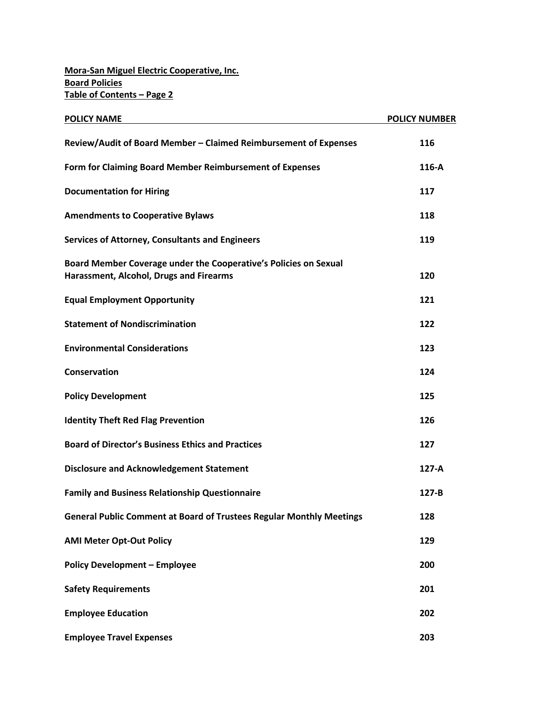| <b>POLICY NAME</b>                                                                                          | <b>POLICY NUMBER</b> |
|-------------------------------------------------------------------------------------------------------------|----------------------|
| Review/Audit of Board Member - Claimed Reimbursement of Expenses                                            | 116                  |
| Form for Claiming Board Member Reimbursement of Expenses                                                    | $116-A$              |
| <b>Documentation for Hiring</b>                                                                             | 117                  |
| <b>Amendments to Cooperative Bylaws</b>                                                                     | 118                  |
| <b>Services of Attorney, Consultants and Engineers</b>                                                      | 119                  |
| Board Member Coverage under the Cooperative's Policies on Sexual<br>Harassment, Alcohol, Drugs and Firearms | 120                  |
| <b>Equal Employment Opportunity</b>                                                                         | 121                  |
| <b>Statement of Nondiscrimination</b>                                                                       | 122                  |
| <b>Environmental Considerations</b>                                                                         | 123                  |
| Conservation                                                                                                | 124                  |
| <b>Policy Development</b>                                                                                   | 125                  |
| <b>Identity Theft Red Flag Prevention</b>                                                                   | 126                  |
| <b>Board of Director's Business Ethics and Practices</b>                                                    | 127                  |
| <b>Disclosure and Acknowledgement Statement</b>                                                             | $127-A$              |
| <b>Family and Business Relationship Questionnaire</b>                                                       | $127 - B$            |
| <b>General Public Comment at Board of Trustees Regular Monthly Meetings</b>                                 | 128                  |
| <b>AMI Meter Opt-Out Policy</b>                                                                             | 129                  |
| <b>Policy Development - Employee</b>                                                                        | 200                  |
| <b>Safety Requirements</b>                                                                                  | 201                  |
| <b>Employee Education</b>                                                                                   | 202                  |
| <b>Employee Travel Expenses</b>                                                                             | 203                  |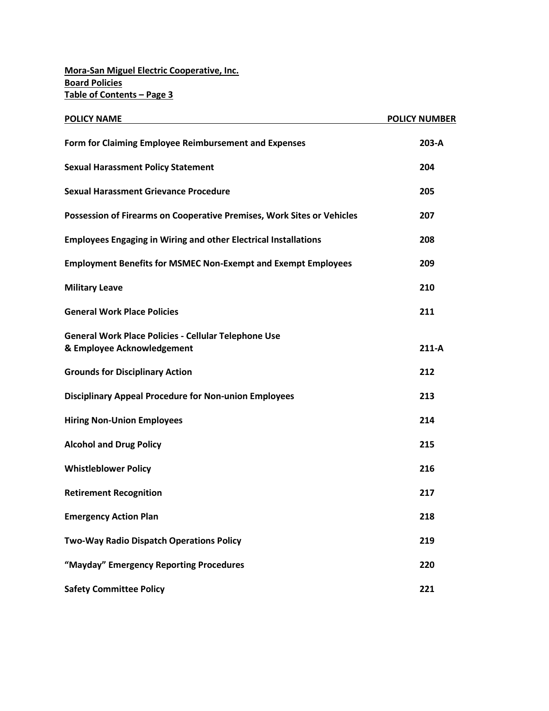| <b>POLICY NAME</b>                                                                        | <b>POLICY NUMBER</b> |
|-------------------------------------------------------------------------------------------|----------------------|
| Form for Claiming Employee Reimbursement and Expenses                                     | 203-A                |
| <b>Sexual Harassment Policy Statement</b>                                                 | 204                  |
| <b>Sexual Harassment Grievance Procedure</b>                                              | 205                  |
| Possession of Firearms on Cooperative Premises, Work Sites or Vehicles                    | 207                  |
| <b>Employees Engaging in Wiring and other Electrical Installations</b>                    | 208                  |
| <b>Employment Benefits for MSMEC Non-Exempt and Exempt Employees</b>                      | 209                  |
| <b>Military Leave</b>                                                                     | 210                  |
| <b>General Work Place Policies</b>                                                        | 211                  |
| <b>General Work Place Policies - Cellular Telephone Use</b><br>& Employee Acknowledgement | $211-A$              |
| <b>Grounds for Disciplinary Action</b>                                                    | 212                  |
| <b>Disciplinary Appeal Procedure for Non-union Employees</b>                              | 213                  |
| <b>Hiring Non-Union Employees</b>                                                         | 214                  |
| <b>Alcohol and Drug Policy</b>                                                            | 215                  |
| <b>Whistleblower Policy</b>                                                               | 216                  |
| <b>Retirement Recognition</b>                                                             | 217                  |
| <b>Emergency Action Plan</b>                                                              | 218                  |
| Two-Way Radio Dispatch Operations Policy                                                  | 219                  |
| "Mayday" Emergency Reporting Procedures                                                   | 220                  |
| <b>Safety Committee Policy</b>                                                            | 221                  |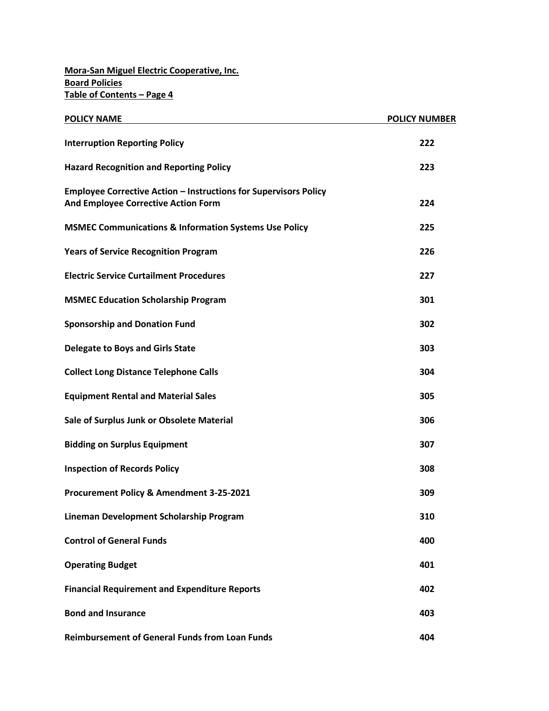| <b>POLICY NAME</b>                                                                                             | <b>POLICY NUMBER</b> |
|----------------------------------------------------------------------------------------------------------------|----------------------|
| <b>Interruption Reporting Policy</b>                                                                           | 222                  |
| <b>Hazard Recognition and Reporting Policy</b>                                                                 | 223                  |
| <b>Employee Corrective Action - Instructions for Supervisors Policy</b><br>And Employee Corrective Action Form | 224                  |
| <b>MSMEC Communications &amp; Information Systems Use Policy</b>                                               | 225                  |
| <b>Years of Service Recognition Program</b>                                                                    | 226                  |
| <b>Electric Service Curtailment Procedures</b>                                                                 | 227                  |
| <b>MSMEC Education Scholarship Program</b>                                                                     | 301                  |
| <b>Sponsorship and Donation Fund</b>                                                                           | 302                  |
| <b>Delegate to Boys and Girls State</b>                                                                        | 303                  |
| <b>Collect Long Distance Telephone Calls</b>                                                                   | 304                  |
| <b>Equipment Rental and Material Sales</b>                                                                     | 305                  |
| Sale of Surplus Junk or Obsolete Material                                                                      | 306                  |
| <b>Bidding on Surplus Equipment</b>                                                                            | 307                  |
| <b>Inspection of Records Policy</b>                                                                            | 308                  |
| Procurement Policy & Amendment 3-25-2021                                                                       | 309                  |
| Lineman Development Scholarship Program                                                                        | 310                  |
| <b>Control of General Funds</b>                                                                                | 400                  |
| <b>Operating Budget</b>                                                                                        | 401                  |
| <b>Financial Requirement and Expenditure Reports</b>                                                           | 402                  |
| <b>Bond and Insurance</b>                                                                                      | 403                  |
| <b>Reimbursement of General Funds from Loan Funds</b>                                                          | 404                  |